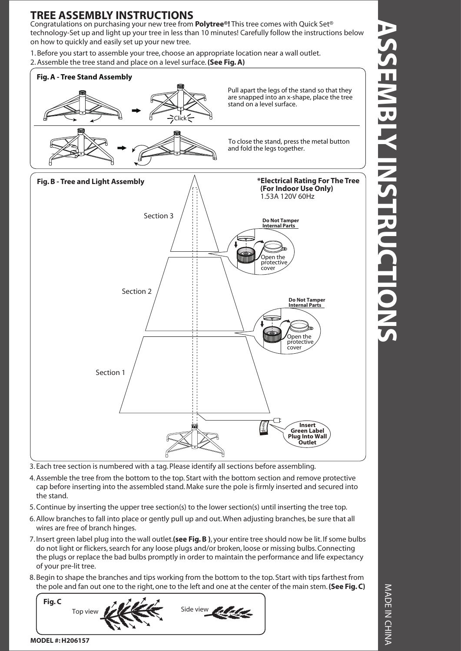## **TREE ASSEMBLY INSTRUCTIONS**

Congratulations on purchasing your new tree from **Polytree®!** This tree comes with Quick Set® technology-Set up and light up your tree in less than 10 minutes! Carefully follow the instructions below on how to quickly and easily set up your new tree.

1. Before you start to assemble your tree, choose an appropriate location near a wall outlet. 2. Assemble the tree stand and place on a level surface. **(See Fig. A)**



3. Each tree section is numbered with a tag. Please identify all sections before assembling.

- 4. Assemble the tree from the bottom to the top. Start with the bottom section and remove protective cap before inserting into the assembled stand. Make sure the pole is firmly inserted and secured into the stand.
- 5. Continue by inserting the upper tree section(s) to the lower section(s) until inserting the tree top.
- 6. Allow branches to fall into place or gently pull up and out. When adjusting branches, be sure that all wires are free of branch hinges.
- 7. Insert green label plug into the wall outlet.**(see Fig. B )**, your entire tree should now be lit. If some bulbs do not light or flickers, search for any loose plugs and/or broken, loose or missing bulbs. Connecting the plugs or replace the bad bulbs promptly in order to maintain the performance and life expectancy of your pre-lit tree.
- 8. Begin to shape the branches and tips working from the bottom to the top. Start with tips farthest from the pole and fan out one to the right, one to the left and one at the center of the main stem. **(See Fig. C)**



MADE IN CHINA MADE IN CHINA

**MODEL #: H206157**